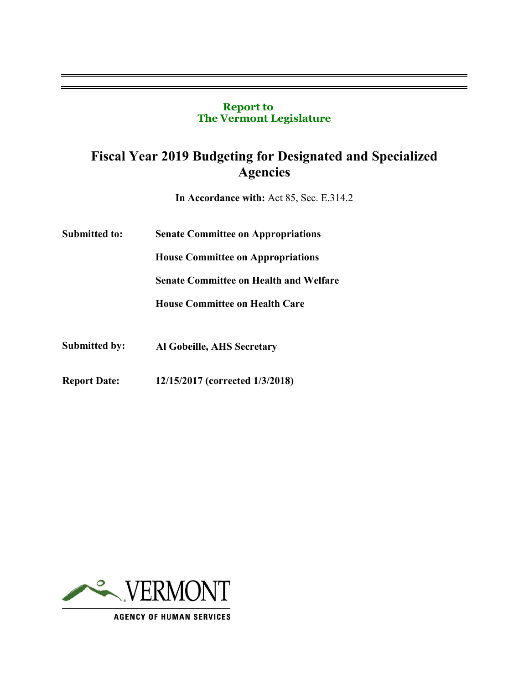### **Report to The Vermont Legislature**

# **Fiscal Year 2019 Budgeting for Designated and Specialized Agencies**

**In Accordance with:** Act 85, Sec. E.314.2

**Submitted to: Senate Committee on Appropriations** 

**House Committee on Appropriations** 

**Senate Committee on Health and Welfare** 

**House Committee on Health Care**

- **Submitted by: Al Gobeille, AHS Secretary**
- **Report Date: 12/15/2017 (corrected 1/3/2018)**

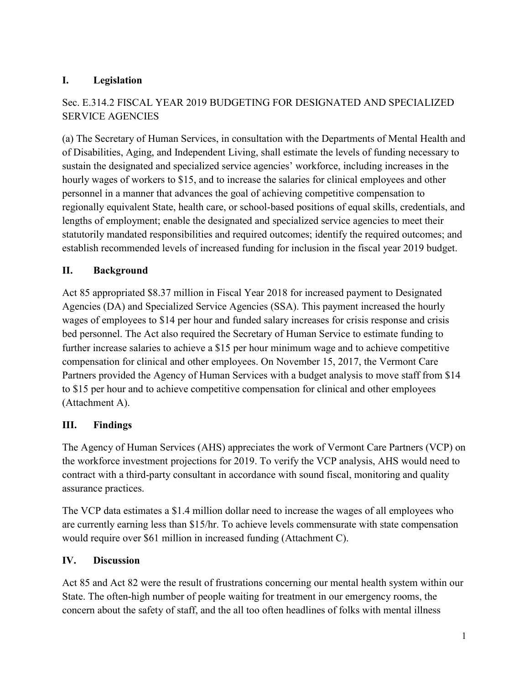# **I. Legislation**

# Sec. E.314.2 FISCAL YEAR 2019 BUDGETING FOR DESIGNATED AND SPECIALIZED SERVICE AGENCIES

(a) The Secretary of Human Services, in consultation with the Departments of Mental Health and of Disabilities, Aging, and Independent Living, shall estimate the levels of funding necessary to sustain the designated and specialized service agencies' workforce, including increases in the hourly wages of workers to \$15, and to increase the salaries for clinical employees and other personnel in a manner that advances the goal of achieving competitive compensation to regionally equivalent State, health care, or school-based positions of equal skills, credentials, and lengths of employment; enable the designated and specialized service agencies to meet their statutorily mandated responsibilities and required outcomes; identify the required outcomes; and establish recommended levels of increased funding for inclusion in the fiscal year 2019 budget.

# **II. Background**

Act 85 appropriated \$8.37 million in Fiscal Year 2018 for increased payment to Designated Agencies (DA) and Specialized Service Agencies (SSA). This payment increased the hourly wages of employees to \$14 per hour and funded salary increases for crisis response and crisis bed personnel. The Act also required the Secretary of Human Service to estimate funding to further increase salaries to achieve a \$15 per hour minimum wage and to achieve competitive compensation for clinical and other employees. On November 15, 2017, the Vermont Care Partners provided the Agency of Human Services with a budget analysis to move staff from \$14 to \$15 per hour and to achieve competitive compensation for clinical and other employees (Attachment A).

## **III. Findings**

The Agency of Human Services (AHS) appreciates the work of Vermont Care Partners (VCP) on the workforce investment projections for 2019. To verify the VCP analysis, AHS would need to contract with a third-party consultant in accordance with sound fiscal, monitoring and quality assurance practices.

The VCP data estimates a \$1.4 million dollar need to increase the wages of all employees who are currently earning less than \$15/hr. To achieve levels commensurate with state compensation would require over \$61 million in increased funding (Attachment C).

## **IV. Discussion**

Act 85 and Act 82 were the result of frustrations concerning our mental health system within our State. The often-high number of people waiting for treatment in our emergency rooms, the concern about the safety of staff, and the all too often headlines of folks with mental illness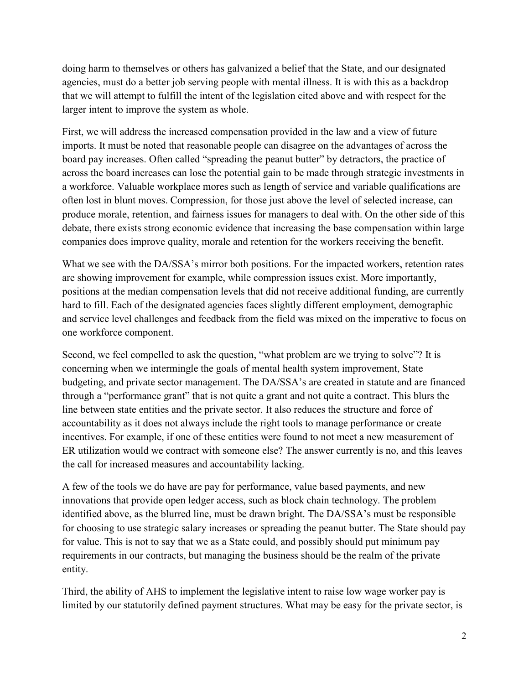doing harm to themselves or others has galvanized a belief that the State, and our designated agencies, must do a better job serving people with mental illness. It is with this as a backdrop that we will attempt to fulfill the intent of the legislation cited above and with respect for the larger intent to improve the system as whole.

First, we will address the increased compensation provided in the law and a view of future imports. It must be noted that reasonable people can disagree on the advantages of across the board pay increases. Often called "spreading the peanut butter" by detractors, the practice of across the board increases can lose the potential gain to be made through strategic investments in a workforce. Valuable workplace mores such as length of service and variable qualifications are often lost in blunt moves. Compression, for those just above the level of selected increase, can produce morale, retention, and fairness issues for managers to deal with. On the other side of this debate, there exists strong economic evidence that increasing the base compensation within large companies does improve quality, morale and retention for the workers receiving the benefit.

What we see with the DA/SSA's mirror both positions. For the impacted workers, retention rates are showing improvement for example, while compression issues exist. More importantly, positions at the median compensation levels that did not receive additional funding, are currently hard to fill. Each of the designated agencies faces slightly different employment, demographic and service level challenges and feedback from the field was mixed on the imperative to focus on one workforce component.

Second, we feel compelled to ask the question, "what problem are we trying to solve"? It is concerning when we intermingle the goals of mental health system improvement, State budgeting, and private sector management. The DA/SSA's are created in statute and are financed through a "performance grant" that is not quite a grant and not quite a contract. This blurs the line between state entities and the private sector. It also reduces the structure and force of accountability as it does not always include the right tools to manage performance or create incentives. For example, if one of these entities were found to not meet a new measurement of ER utilization would we contract with someone else? The answer currently is no, and this leaves the call for increased measures and accountability lacking.

A few of the tools we do have are pay for performance, value based payments, and new innovations that provide open ledger access, such as block chain technology. The problem identified above, as the blurred line, must be drawn bright. The DA/SSA's must be responsible for choosing to use strategic salary increases or spreading the peanut butter. The State should pay for value. This is not to say that we as a State could, and possibly should put minimum pay requirements in our contracts, but managing the business should be the realm of the private entity.

Third, the ability of AHS to implement the legislative intent to raise low wage worker pay is limited by our statutorily defined payment structures. What may be easy for the private sector, is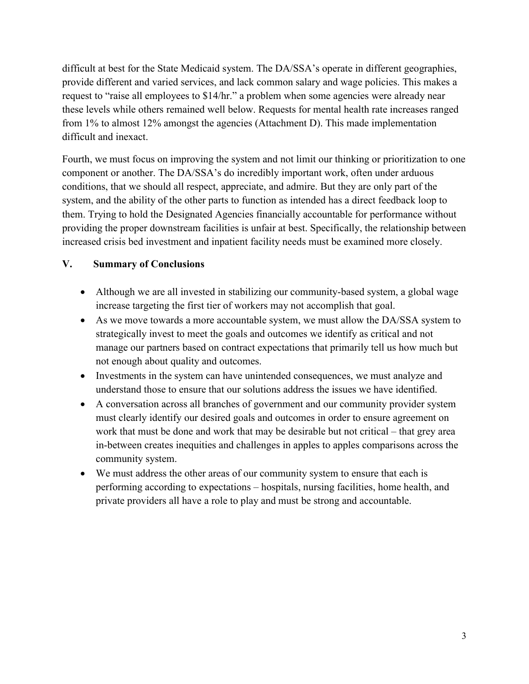difficult at best for the State Medicaid system. The DA/SSA's operate in different geographies, provide different and varied services, and lack common salary and wage policies. This makes a request to "raise all employees to \$14/hr." a problem when some agencies were already near these levels while others remained well below. Requests for mental health rate increases ranged from 1% to almost 12% amongst the agencies (Attachment D). This made implementation difficult and inexact.

Fourth, we must focus on improving the system and not limit our thinking or prioritization to one component or another. The DA/SSA's do incredibly important work, often under arduous conditions, that we should all respect, appreciate, and admire. But they are only part of the system, and the ability of the other parts to function as intended has a direct feedback loop to them. Trying to hold the Designated Agencies financially accountable for performance without providing the proper downstream facilities is unfair at best. Specifically, the relationship between increased crisis bed investment and inpatient facility needs must be examined more closely.

## **V. Summary of Conclusions**

- Although we are all invested in stabilizing our community-based system, a global wage increase targeting the first tier of workers may not accomplish that goal.
- As we move towards a more accountable system, we must allow the DA/SSA system to strategically invest to meet the goals and outcomes we identify as critical and not manage our partners based on contract expectations that primarily tell us how much but not enough about quality and outcomes.
- Investments in the system can have unintended consequences, we must analyze and understand those to ensure that our solutions address the issues we have identified.
- A conversation across all branches of government and our community provider system must clearly identify our desired goals and outcomes in order to ensure agreement on work that must be done and work that may be desirable but not critical – that grey area in-between creates inequities and challenges in apples to apples comparisons across the community system.
- We must address the other areas of our community system to ensure that each is performing according to expectations – hospitals, nursing facilities, home health, and private providers all have a role to play and must be strong and accountable.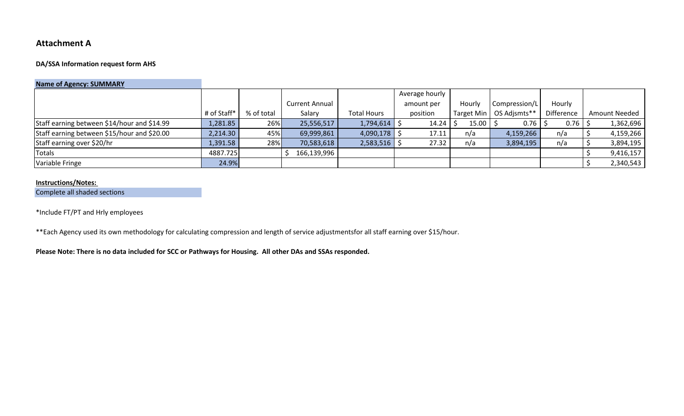## **Attachment A**

#### **DA/SSA Information request form AHS**

### **Name of Agency: SUMMARY**

|                                             |             |            |                       | Average hourly     |            |            |               |                        |                      |
|---------------------------------------------|-------------|------------|-----------------------|--------------------|------------|------------|---------------|------------------------|----------------------|
|                                             |             |            | <b>Current Annual</b> |                    | amount per | Hourly     | Compression/L | Hourly                 |                      |
|                                             | # of Staff* | % of total | Salary                | <b>Total Hours</b> | position   | Target Min | OS Adjsmts**  | Difference             | <b>Amount Needed</b> |
| Staff earning between \$14/hour and \$14.99 | 1,281.85    | 26%        | 25,556,517            | $1,794,614$ \$     | 14.24      | 15.00      | 0.76          | $0.76$   $\frac{6}{5}$ | 1,362,696            |
| Staff earning between \$15/hour and \$20.00 | 2,214.30    | 45%        | 69,999,861            | $4,090,178$ \$     | 17.11      | n/a        | 4,159,266     | n/a                    | 4,159,266            |
| Staff earning over \$20/hr                  | L,391.58    | 28%        | 70,583,618            | $2,583,516$ \$     | 27.32      | n/a        | 3,894,195     | n/a                    | 3,894,195            |
| Totals                                      | 4887.725    |            | 166,139,996           |                    |            |            |               |                        | 9,416,157            |
| Variable Fringe                             | 24.9%       |            |                       |                    |            |            |               |                        | 2,340,543            |

#### **Instructions/Notes:**

Complete all shaded sections

\*Include FT/PT and Hrly employees

\*\*Each Agency used its own methodology for calculating compression and length of service adjustmentsfor all staff earning over \$15/hour.

**Please Note: There is no data included for SCC or Pathways for Housing. All other DAs and SSAs responded.**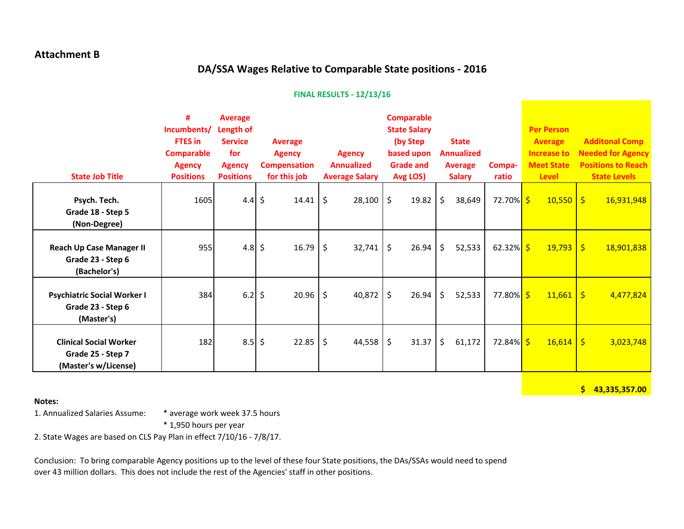### **Attachment B**

# **DA/SSA Wages Relative to Comparable State positions - 2016**

#### **FINAL RESULTS - 12/13/16**

| <b>State Job Title</b>                                                     | #<br>Incumbents/<br><b>FTES</b> in<br><b>Comparable</b><br><b>Agency</b><br><b>Positions</b> | <b>Average</b><br>Length of<br><b>Service</b><br>for<br><b>Agency</b><br><b>Positions</b> | <b>Average</b><br><b>Agency</b><br><b>Compensation</b><br>for this job | <b>Agency</b><br><b>Annualized</b><br><b>Average Salary</b> | <b>Comparable</b><br><b>State Salary</b><br>(by Step<br>based upon<br><b>Grade and</b><br>Avg LOS) | <b>State</b><br><b>Annualized</b><br><b>Average</b><br><b>Salary</b> | Compa-<br>ratio        | <b>Per Person</b><br><b>Average</b><br><b>Increase to</b><br><b>Meet State</b><br><b>Level</b> | <b>Additonal Comp</b><br><b>Needed for Agency</b><br><b>Positions to Reach</b><br><b>State Levels</b> |
|----------------------------------------------------------------------------|----------------------------------------------------------------------------------------------|-------------------------------------------------------------------------------------------|------------------------------------------------------------------------|-------------------------------------------------------------|----------------------------------------------------------------------------------------------------|----------------------------------------------------------------------|------------------------|------------------------------------------------------------------------------------------------|-------------------------------------------------------------------------------------------------------|
| Psych. Tech.<br>Grade 18 - Step 5<br>(Non-Degree)                          | 1605                                                                                         | 4.4 \$                                                                                    | 14.41                                                                  | $\zeta$<br>28,100                                           | \$<br>19.82                                                                                        | \$<br>38,649                                                         | 72.70% \$              | $10,550$ \$                                                                                    | 16,931,948                                                                                            |
| <b>Reach Up Case Manager II</b><br>Grade 23 - Step 6<br>(Bachelor's)       | 955                                                                                          | 4.8 \$                                                                                    | 16.79                                                                  | \$<br>32,741                                                | $\zeta$<br>26.94                                                                                   | \$<br>52,533                                                         | 62.32% $\frac{\xi}{2}$ | 19,793                                                                                         | $\vert$ \$<br>18,901,838                                                                              |
| <b>Psychiatric Social Worker I</b><br>Grade 23 - Step 6<br>(Master's)      | 384                                                                                          | $6.2$ \$                                                                                  | 20.96                                                                  | $\zeta$<br>40,872                                           | \$<br>26.94                                                                                        | \$<br>52,533                                                         | 77.80% <mark>\$</mark> | 11,661                                                                                         | l\$<br>4,477,824                                                                                      |
| <b>Clinical Social Worker</b><br>Grade 25 - Step 7<br>(Master's w/License) | 182                                                                                          | $8.5$ \$                                                                                  | 22.85                                                                  | \$<br>44,558                                                | $\zeta$<br>31.37                                                                                   | \$<br>61,172                                                         | 72.84% <mark>\$</mark> | $16,614$ \$                                                                                    | 3,023,748                                                                                             |

**Notes:**

**\$ 43,335,357.00**

1. Annualized Salaries Assume: \* average work week 37.5 hours

\* 1,950 hours per year

2. State Wages are based on CLS Pay Plan in effect 7/10/16 - 7/8/17.

Conclusion: To bring comparable Agency positions up to the level of these four State positions, the DAs/SSAs would need to spend over 43 million dollars. This does not include the rest of the Agencies' staff in other positions.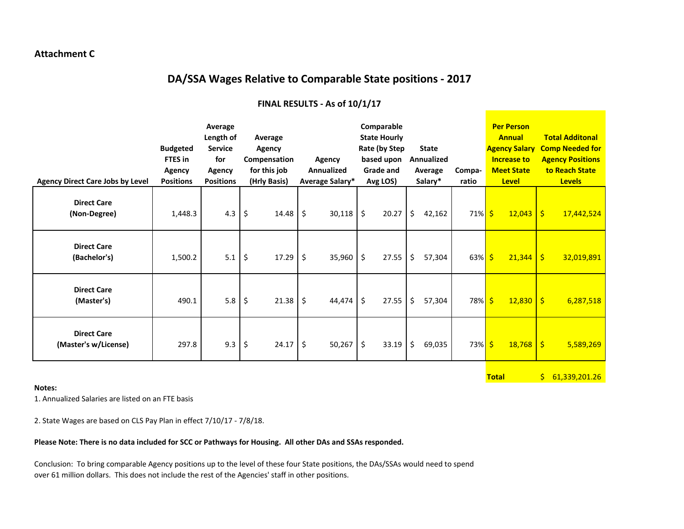#### **Attachment C**

# **DA/SSA Wages Relative to Comparable State positions - 2017**

| <b>Agency Direct Care Jobs by Level</b>    | <b>Budgeted</b><br><b>FTES</b> in<br>Agency<br><b>Positions</b> | Average<br>Length of<br><b>Service</b><br>for<br>Agency<br><b>Positions</b> | Average<br>Agency<br>Compensation<br>for this job<br>(Hrly Basis) | <b>Agency</b><br><b>Annualized</b><br>Average Salary* | Comparable<br><b>State Hourly</b><br>Rate (by Step<br>based upon<br><b>Grade and</b><br>Avg LOS) | <b>State</b><br>Annualized<br>Average<br>Salary* | Compa-<br>ratio     | <b>Per Person</b><br><b>Annual</b><br><b>Agency Salary</b><br><b>Increase to</b><br><b>Meet State</b><br><b>Level</b> | <b>Total Additonal</b><br><b>Comp Needed for</b><br><b>Agency Positions</b><br>to Reach State<br><b>Levels</b> |
|--------------------------------------------|-----------------------------------------------------------------|-----------------------------------------------------------------------------|-------------------------------------------------------------------|-------------------------------------------------------|--------------------------------------------------------------------------------------------------|--------------------------------------------------|---------------------|-----------------------------------------------------------------------------------------------------------------------|----------------------------------------------------------------------------------------------------------------|
| <b>Direct Care</b><br>(Non-Degree)         | 1,448.3                                                         | 4.3                                                                         | \$<br>14.48                                                       | \$<br>30,118                                          | \$<br>20.27                                                                                      | \$<br>42,162                                     | $71\%$ \$           | 12,043                                                                                                                | $\overline{\phantom{a}}$<br>17,442,524                                                                         |
| <b>Direct Care</b><br>(Bachelor's)         | 1,500.2                                                         | 5.1                                                                         | \$<br>17.29                                                       | \$<br>35,960                                          | \$<br>27.55                                                                                      | \$<br>57,304                                     | $63\%$ \$           | 21,344                                                                                                                | $\mathsf{S}$<br>32,019,891                                                                                     |
| <b>Direct Care</b><br>(Master's)           | 490.1                                                           | 5.8                                                                         | \$<br>21.38                                                       | \$<br>44,474                                          | \$<br>27.55                                                                                      | \$<br>57,304                                     | 78% <mark>\$</mark> | $12,830$   \$                                                                                                         | 6,287,518                                                                                                      |
| <b>Direct Care</b><br>(Master's w/License) | 297.8                                                           | 9.3                                                                         | \$<br>24.17                                                       | \$<br>50,267                                          | $\zeta$<br>33.19                                                                                 | $\zeta$<br>69,035                                | $73\%$ \$           | $18,768$   \$                                                                                                         | 5,589,269                                                                                                      |

**Total** \$ 61,339,201.26

#### **FINAL RESULTS - As of 10/1/17**

**Notes:**

1. Annualized Salaries are listed on an FTE basis

2. State Wages are based on CLS Pay Plan in effect 7/10/17 - 7/8/18.

#### **Please Note: There is no data included for SCC or Pathways for Housing. All other DAs and SSAs responded.**

Conclusion: To bring comparable Agency positions up to the level of these four State positions, the DAs/SSAs would need to spend over 61 million dollars. This does not include the rest of the Agencies' staff in other positions.